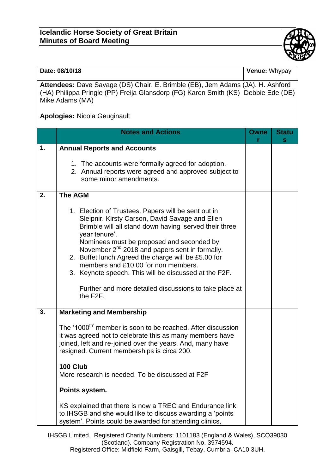## **Icelandic Horse Society of Great Britain Minutes of Board Meeting**



| Date: 08/10/18                                                                                                                                                                         |                                                                                                                                                                                                                                                                                                                                                                                                                                                                                                                           | Venue: Whypay |                   |  |  |
|----------------------------------------------------------------------------------------------------------------------------------------------------------------------------------------|---------------------------------------------------------------------------------------------------------------------------------------------------------------------------------------------------------------------------------------------------------------------------------------------------------------------------------------------------------------------------------------------------------------------------------------------------------------------------------------------------------------------------|---------------|-------------------|--|--|
| Attendees: Dave Savage (DS) Chair, E. Brimble (EB), Jem Adams (JA), H. Ashford<br>(HA) Philippa Pringle (PP) Freija Glansdorp (FG) Karen Smith (KS) Debbie Ede (DE)<br>Mike Adams (MA) |                                                                                                                                                                                                                                                                                                                                                                                                                                                                                                                           |               |                   |  |  |
| <b>Apologies: Nicola Geuginault</b>                                                                                                                                                    |                                                                                                                                                                                                                                                                                                                                                                                                                                                                                                                           |               |                   |  |  |
|                                                                                                                                                                                        | <b>Notes and Actions</b>                                                                                                                                                                                                                                                                                                                                                                                                                                                                                                  | Owne          | <b>Statu</b><br>s |  |  |
| 1.                                                                                                                                                                                     | <b>Annual Reports and Accounts</b>                                                                                                                                                                                                                                                                                                                                                                                                                                                                                        |               |                   |  |  |
|                                                                                                                                                                                        | 1. The accounts were formally agreed for adoption.<br>2. Annual reports were agreed and approved subject to<br>some minor amendments.                                                                                                                                                                                                                                                                                                                                                                                     |               |                   |  |  |
| 2.                                                                                                                                                                                     | <b>The AGM</b>                                                                                                                                                                                                                                                                                                                                                                                                                                                                                                            |               |                   |  |  |
|                                                                                                                                                                                        | 1. Election of Trustees. Papers will be sent out in<br>Sleipnir. Kirsty Carson, David Savage and Ellen<br>Brimble will all stand down having 'served their three<br>year tenure'.<br>Nominees must be proposed and seconded by<br>November 2 <sup>nd</sup> 2018 and papers sent in formally.<br>2. Buffet lunch Agreed the charge will be £5.00 for<br>members and £10.00 for non members.<br>3. Keynote speech. This will be discussed at the F2F.<br>Further and more detailed discussions to take place at<br>the F2F. |               |                   |  |  |
| 3.                                                                                                                                                                                     | <b>Marketing and Membership</b>                                                                                                                                                                                                                                                                                                                                                                                                                                                                                           |               |                   |  |  |
|                                                                                                                                                                                        | The '1000 <sup>th'</sup> member is soon to be reached. After discussion<br>it was agreed not to celebrate this as many members have<br>joined, left and re-joined over the years. And, many have<br>resigned. Current memberships is circa 200.                                                                                                                                                                                                                                                                           |               |                   |  |  |
|                                                                                                                                                                                        | 100 Club<br>More research is needed. To be discussed at F2F                                                                                                                                                                                                                                                                                                                                                                                                                                                               |               |                   |  |  |
|                                                                                                                                                                                        | Points system.                                                                                                                                                                                                                                                                                                                                                                                                                                                                                                            |               |                   |  |  |
|                                                                                                                                                                                        | KS explained that there is now a TREC and Endurance link<br>to IHSGB and she would like to discuss awarding a 'points'<br>system'. Points could be awarded for attending clinics,                                                                                                                                                                                                                                                                                                                                         |               |                   |  |  |

IHSGB Limited. Registered Charity Numbers: 1101183 (England & Wales), SCO39030 (Scotland). Company Registration No. 3974594. Registered Office: Midfield Farm, Gaisgill, Tebay, Cumbria, CA10 3UH.